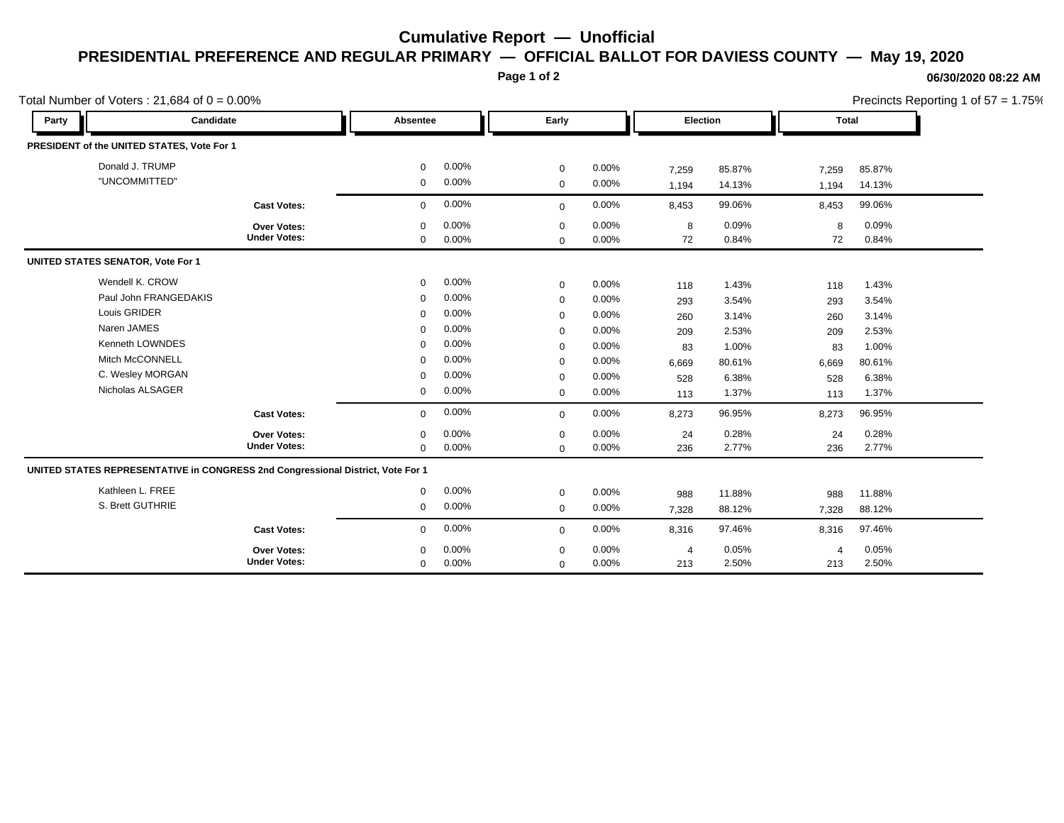## **Cumulative Report — Unofficial PRESIDENTIAL PREFERENCE AND REGULAR PRIMARY — OFFICIAL BALLOT FOR DAVIESS COUNTY — May 19, 2020**

**Page 1 of 2**

## **06/30/2020 08:22 AM**

Precincts Reporting 1 of 57 = 1.75%

| Total Number of Voters: $21,684$ of $0 = 0.00\%$ |                                                                                 |                  |                |              |                   |         |                | Precincts Reporting 1 of 57 = 1.75% |                |  |
|--------------------------------------------------|---------------------------------------------------------------------------------|------------------|----------------|--------------|-------------------|---------|----------------|-------------------------------------|----------------|--|
| Party                                            | Candidate                                                                       |                  | Absentee       |              | Early             |         | Election       |                                     | <b>Total</b>   |  |
| PRESIDENT of the UNITED STATES, Vote For 1       |                                                                                 |                  |                |              |                   |         |                |                                     |                |  |
| Donald J. TRUMP                                  |                                                                                 | $\mathbf 0$      | 0.00%          | $\mathbf 0$  | $0.00\%$          | 7,259   | 85.87%         | 7,259                               | 85.87%         |  |
| "UNCOMMITTED"                                    |                                                                                 | $\mathbf 0$      | 0.00%          | $\mathbf 0$  | 0.00%             | 1,194   | 14.13%         | 1,194                               | 14.13%         |  |
|                                                  | <b>Cast Votes:</b>                                                              | $\mathbf 0$      | 0.00%          | $\mathbf 0$  | 0.00%             | 8,453   | 99.06%         | 8,453                               | 99.06%         |  |
|                                                  | <b>Over Votes:</b><br><b>Under Votes:</b>                                       | $\mathbf 0$<br>0 | 0.00%<br>0.00% | $\mathbf 0$  | $0.00\%$<br>0.00% | 8<br>72 | 0.09%<br>0.84% | 8<br>72                             | 0.09%<br>0.84% |  |
| <b>UNITED STATES SENATOR, Vote For 1</b>         |                                                                                 |                  |                | $\Omega$     |                   |         |                |                                     |                |  |
| Wendell K. CROW                                  |                                                                                 | $\mathbf 0$      | 0.00%          | $\mathbf 0$  | 0.00%             | 118     | 1.43%          | 118                                 | 1.43%          |  |
| Paul John FRANGEDAKIS                            |                                                                                 | $\mathbf 0$      | 0.00%          | $\mathbf 0$  | $0.00\%$          | 293     | 3.54%          | 293                                 | 3.54%          |  |
| Louis GRIDER                                     |                                                                                 | $\mathbf 0$      | 0.00%          | $\mathbf 0$  | 0.00%             | 260     | 3.14%          | 260                                 | 3.14%          |  |
| Naren JAMES                                      |                                                                                 | $\Omega$         | 0.00%          | $\mathbf 0$  | 0.00%             | 209     | 2.53%          | 209                                 | 2.53%          |  |
| Kenneth LOWNDES                                  |                                                                                 | $\Omega$         | 0.00%          | $\mathbf 0$  | 0.00%             | 83      | 1.00%          | 83                                  | 1.00%          |  |
| <b>Mitch McCONNELL</b><br>C. Wesley MORGAN       |                                                                                 | $\Omega$         | 0.00%          | $\mathbf 0$  | 0.00%             | 6,669   | 80.61%         | 6,669                               | 80.61%         |  |
|                                                  |                                                                                 | $\Omega$         | $0.00\%$       | $\mathbf 0$  | 0.00%             | 528     | 6.38%          | 528                                 | 6.38%          |  |
| Nicholas ALSAGER                                 |                                                                                 | 0                | 0.00%          | $\mathbf 0$  | 0.00%             | 113     | 1.37%          | 113                                 | 1.37%          |  |
|                                                  | <b>Cast Votes:</b>                                                              | $\mathbf 0$      | 0.00%          | $\mathbf 0$  | 0.00%             | 8,273   | 96.95%         | 8,273                               | 96.95%         |  |
|                                                  | <b>Over Votes:</b>                                                              | 0                | 0.00%          | $\mathbf 0$  | 0.00%             | 24      | 0.28%          | 24                                  | 0.28%          |  |
|                                                  | <b>Under Votes:</b>                                                             | $\mathbf 0$      | 0.00%          | $\mathbf 0$  | 0.00%             | 236     | 2.77%          | 236                                 | 2.77%          |  |
|                                                  | UNITED STATES REPRESENTATIVE in CONGRESS 2nd Congressional District, Vote For 1 |                  |                |              |                   |         |                |                                     |                |  |
| Kathleen L. FREE                                 |                                                                                 | 0                | 0.00%          | $\mathbf 0$  | 0.00%             | 988     | 11.88%         | 988                                 | 11.88%         |  |
| S. Brett GUTHRIE                                 |                                                                                 | $\mathbf 0$      | 0.00%          | $\mathbf 0$  | $0.00\%$          | 7,328   | 88.12%         | 7,328                               | 88.12%         |  |
|                                                  | <b>Cast Votes:</b>                                                              | $\mathbf 0$      | 0.00%          | $\mathbf{0}$ | 0.00%             | 8,316   | 97.46%         | 8,316                               | 97.46%         |  |
|                                                  | Over Votes:                                                                     | $\mathbf 0$      | 0.00%          | $\mathbf 0$  | 0.00%             | 4       | 0.05%          | $\overline{4}$                      | 0.05%          |  |
|                                                  | <b>Under Votes:</b>                                                             | $\mathbf 0$      | 0.00%          | $\mathbf 0$  | 0.00%             | 213     | 2.50%          | 213                                 | 2.50%          |  |